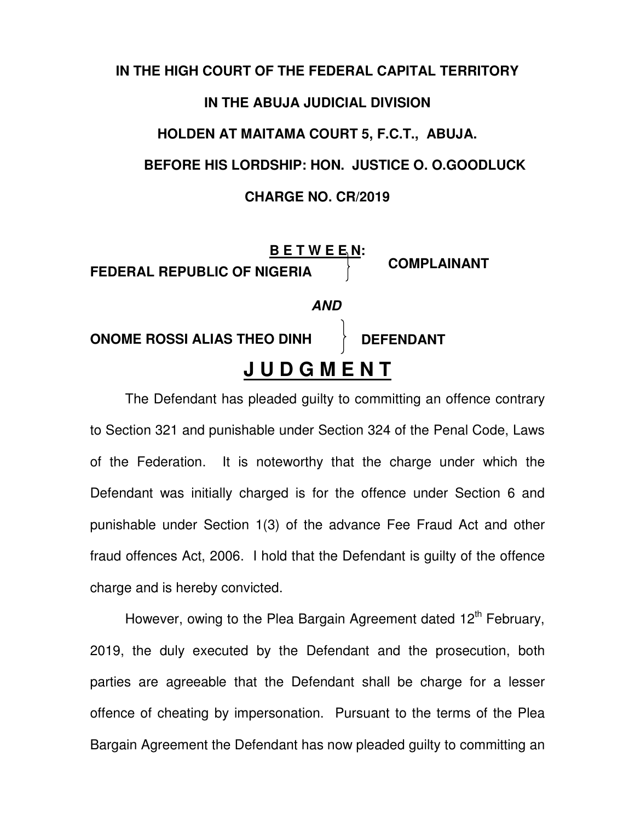## **IN THE HIGH COURT OF THE FEDERAL CAPITAL TERRITORY IN THE ABUJA JUDICIAL DIVISION HOLDEN AT MAITAMA COURT 5, F.C.T., ABUJA. BEFORE HIS LORDSHIP: HON. JUSTICE O. O.GOODLUCK CHARGE NO. CR/2019**



The Defendant has pleaded guilty to committing an offence contrary to Section 321 and punishable under Section 324 of the Penal Code, Laws of the Federation. It is noteworthy that the charge under which the Defendant was initially charged is for the offence under Section 6 and punishable under Section 1(3) of the advance Fee Fraud Act and other fraud offences Act, 2006. I hold that the Defendant is guilty of the offence charge and is hereby convicted.

However, owing to the Plea Bargain Agreement dated 12<sup>th</sup> February, 2019, the duly executed by the Defendant and the prosecution, both parties are agreeable that the Defendant shall be charge for a lesser offence of cheating by impersonation. Pursuant to the terms of the Plea Bargain Agreement the Defendant has now pleaded guilty to committing an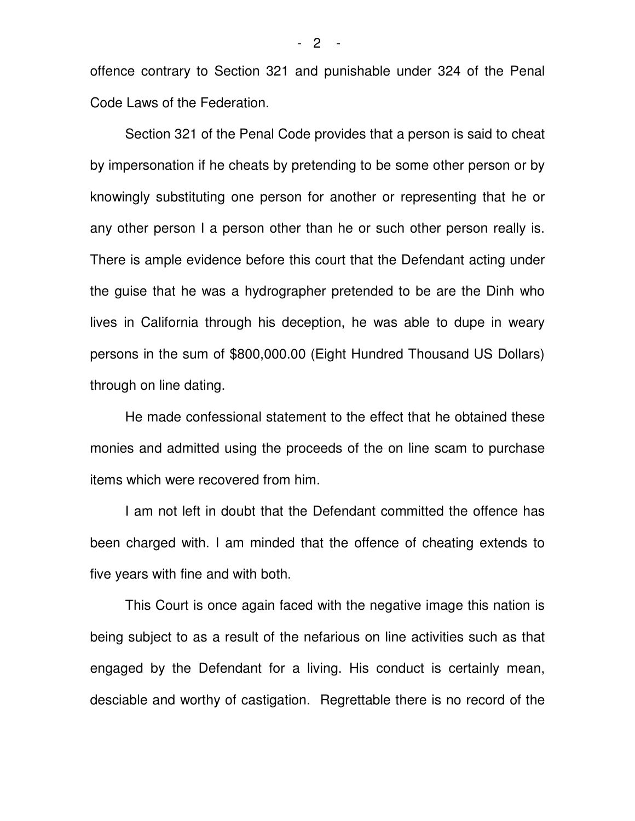offence contrary to Section 321 and punishable under 324 of the Penal Code Laws of the Federation.

Section 321 of the Penal Code provides that a person is said to cheat by impersonation if he cheats by pretending to be some other person or by knowingly substituting one person for another or representing that he or any other person I a person other than he or such other person really is. There is ample evidence before this court that the Defendant acting under the guise that he was a hydrographer pretended to be are the Dinh who lives in California through his deception, he was able to dupe in weary persons in the sum of \$800,000.00 (Eight Hundred Thousand US Dollars) through on line dating.

He made confessional statement to the effect that he obtained these monies and admitted using the proceeds of the on line scam to purchase items which were recovered from him.

I am not left in doubt that the Defendant committed the offence has been charged with. I am minded that the offence of cheating extends to five years with fine and with both.

This Court is once again faced with the negative image this nation is being subject to as a result of the nefarious on line activities such as that engaged by the Defendant for a living. His conduct is certainly mean, desciable and worthy of castigation. Regrettable there is no record of the

- 2 -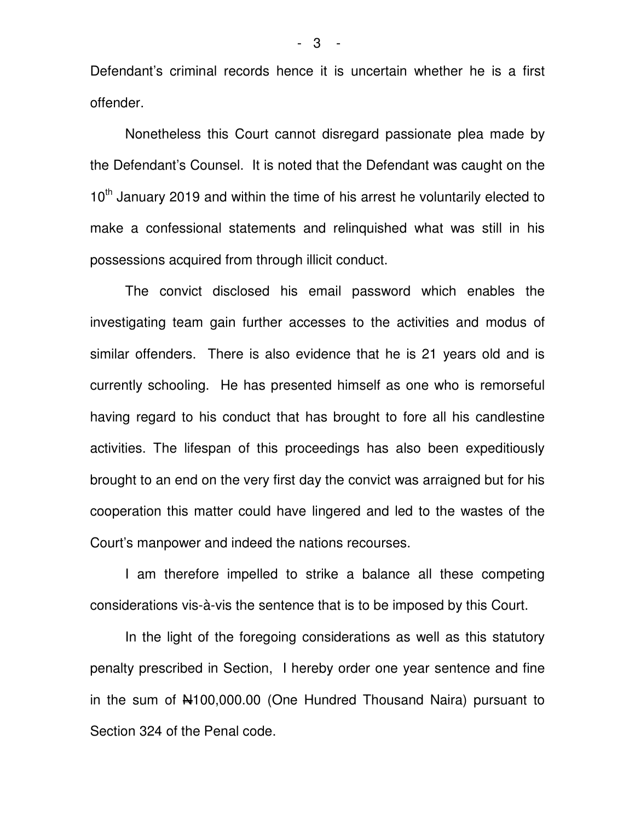Defendant's criminal records hence it is uncertain whether he is a first offender.

Nonetheless this Court cannot disregard passionate plea made by the Defendant's Counsel. It is noted that the Defendant was caught on the  $10<sup>th</sup>$  January 2019 and within the time of his arrest he voluntarily elected to make a confessional statements and relinquished what was still in his possessions acquired from through illicit conduct.

The convict disclosed his email password which enables the investigating team gain further accesses to the activities and modus of similar offenders. There is also evidence that he is 21 years old and is currently schooling. He has presented himself as one who is remorseful having regard to his conduct that has brought to fore all his candlestine activities. The lifespan of this proceedings has also been expeditiously brought to an end on the very first day the convict was arraigned but for his cooperation this matter could have lingered and led to the wastes of the Court's manpower and indeed the nations recourses.

I am therefore impelled to strike a balance all these competing considerations vis-à-vis the sentence that is to be imposed by this Court.

In the light of the foregoing considerations as well as this statutory penalty prescribed in Section, I hereby order one year sentence and fine in the sum of N100,000.00 (One Hundred Thousand Naira) pursuant to Section 324 of the Penal code.